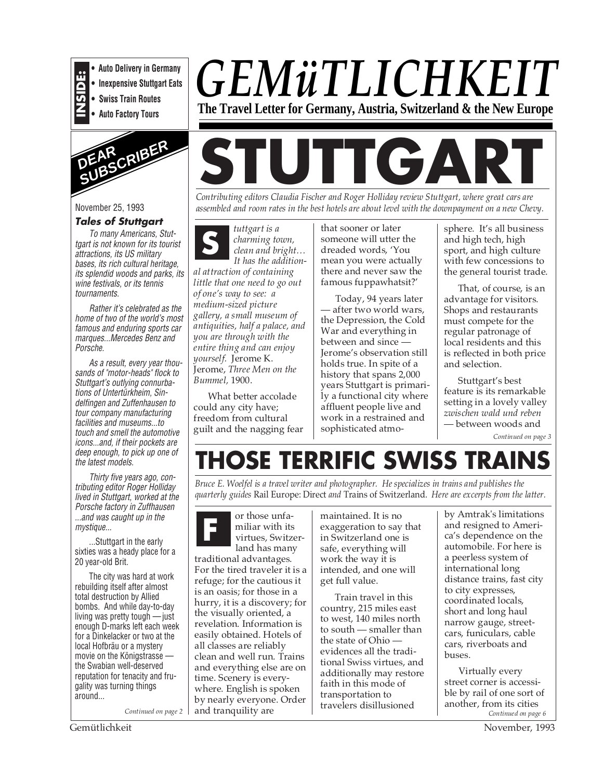

**• Inexpensive Stuttgart Eats**

**INSIDE:**<br>• Inexpensive Stuttgart Eats<br>• Swiss Train Routes<br>• Auto Factory Tours **• Swiss Train Routes**

**• Auto Factory Tours**



November 25, 1993

#### **Tales of Stuttgart**

To many Americans, Stuttgart is not known for its tourist attractions, its US military bases, its rich cultural heritage, its splendid woods and parks, its wine festivals, or its tennis tournaments.

Rather it's celebrated as the home of two of the world's most famous and enduring sports car marques...Mercedes Benz and Porsche.

As a result, every year thousands of "motor-heads" flock to Stuttgart's outlying connurbations of Untertürkheim, Sindelfingen and Zuffenhausen to tour company manufacturing facilities and museums...to touch and smell the automotive icons...and, if their pockets are deep enough, to pick up one of the latest models.

Thirty five years ago, contributing editor Roger Holliday lived in Stuttgart, worked at the Porsche factory in Zuffhausen ...and was caught up in the mystique...

...Stuttgart in the early sixties was a heady place for a 20 year-old Brit.

The city was hard at work rebuilding itself after almost total destruction by Allied bombs. And while day-to-day living was pretty tough —just enough D-marks left each week for a Dinkelacker or two at the local Hofbräu or a mystery movie on the Königstrasse the Swabian well-deserved reputation for tenacity and frugality was turning things around...

*Continued on page 2*

# *GEMüTLICHKEIT* **The Travel Letter for Germany, Austria, Switzerland & the New Europe**

**STUTTGAR** 

*Contributing editors Claudia Fischer and Roger Holliday review Stuttgart, where great cars are assembled and room rates in the best hotels are about level with the downpayment on a new Chevy.*

*tuttgart is a charming town, clean and bright… It has the addition-***S**

*al attraction of containing little that one need to go out of one's way to see: a medium-sized picture gallery, a small museum of antiquities, half a palace, and you are through with the entire thing and can enjoy yourself.* Jerome K. Jerome, *Three Men on the Bummel,* 1900.

What better accolade could any city have; freedom from cultural guilt and the nagging fear that sooner or later someone will utter the dreaded words, 'You mean you were actually there and never saw the famous fuppawhatsit?'

Today, 94 years later — after two world wars, the Depression, the Cold War and everything in between and since -Jerome's observation still holds true. In spite of a history that spans 2,000 years Stuttgart is primarily a functional city where affluent people live and work in a restrained and sophisticated atmosphere. It's all business and high tech, high sport, and high culture with few concessions to the general tourist trade.

That, of course, is an advantage for visitors. Shops and restaurants must compete for the regular patronage of local residents and this is reflected in both price and selection.

Stuttgart's best feature is its remarkable setting in a lovely valley *zwischen wald und reben* — between woods and

*Continued on page 3*

# **THOSE TERRIFIC SWISS TRAINS**

*Bruce E. Woelfel is a travel writer and photographer. He specializes in trains and publishes the quarterly guides* Rail Europe: Direct *and* Trains of Switzerland. *Here are excerpts from the latter.*

or those unfamiliar with its virtues, Switzerland has many traditional advantages. For the tired traveler it is a refuge; for the cautious it is an oasis; for those in a hurry, it is a discovery; for the visually oriented, a revelation. Information is easily obtained. Hotels of all classes are reliably clean and well run. Trains and everything else are on time. Scenery is everywhere. English is spoken by nearly everyone. Order and tranquility are **F**

maintained. It is no exaggeration to say that in Switzerland one is safe, everything will work the way it is intended, and one will get full value.

Train travel in this country, 215 miles east to west, 140 miles north to south — smaller than the state of Ohio evidences all the traditional Swiss virtues, and additionally may restore faith in this mode of transportation to travelers disillusioned

by Amtrak's limitations and resigned to America's dependence on the automobile. For here is a peerless system of international long distance trains, fast city to city expresses, coordinated locals, short and long haul narrow gauge, streetcars, funiculars, cable cars, riverboats and buses.

Virtually every street corner is accessible by rail of one sort of another, from its cities *Continued on page 6*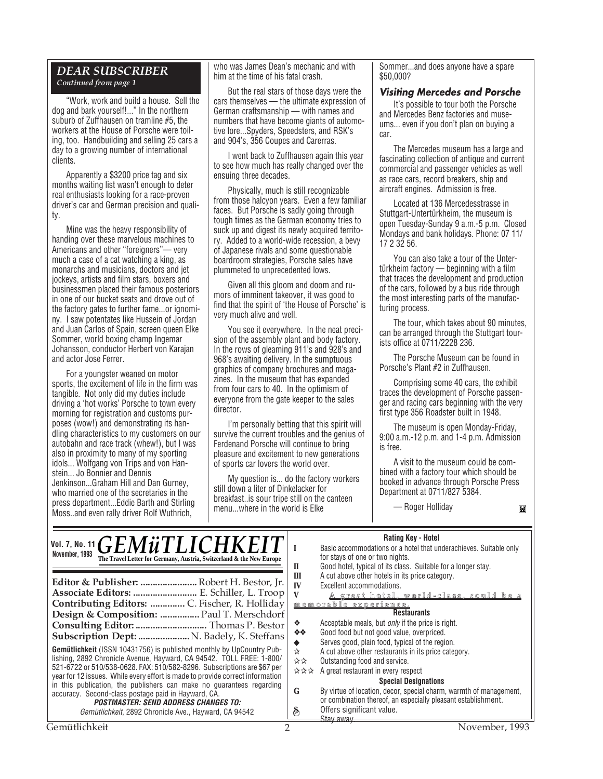#### *DEAR SUBSCRIBER Continued from page 1*

"Work, work and build a house. Sell the dog and bark yourself!..." In the northern suburb of Zuffhausen on tramline #5, the workers at the House of Porsche were toiling, too. Handbuilding and selling 25 cars a day to a growing number of international clients.

Apparently a \$3200 price tag and six months waiting list wasn't enough to deter real enthusiasts looking for a race-proven driver's car and German precision and quality.

Mine was the heavy responsibility of handing over these marvelous machines to Americans and other "foreigners"— very much a case of a cat watching a king, as monarchs and musicians, doctors and jet jockeys, artists and film stars, boxers and businessmen placed their famous posteriors in one of our bucket seats and drove out of the factory gates to further fame...or ignominy. I saw potentates like Hussein of Jordan and Juan Carlos of Spain, screen queen Elke Sommer, world boxing champ Ingemar Johansson, conductor Herbert von Karajan and actor Jose Ferrer.

For a youngster weaned on motor sports, the excitement of life in the firm was tangible. Not only did my duties include driving a 'hot works' Porsche to town every morning for registration and customs purposes (wow!) and demonstrating its handling characteristics to my customers on our autobahn and race track (whew!), but I was also in proximity to many of my sporting idols... Wolfgang von Trips and von Hanstein... Jo Bonnier and Dennis Jenkinson...Graham Hill and Dan Gurney, who married one of the secretaries in the press department...Eddie Barth and Stirling Moss..and even rally driver Rolf Wuthrich,

who was James Dean's mechanic and with him at the time of his fatal crash.

But the real stars of those days were the cars themselves — the ultimate expression of German craftsmanship — with names and numbers that have become giants of automotive lore...Spyders, Speedsters, and RSK's and 904's, 356 Coupes and Carerras.

I went back to Zuffhausen again this year to see how much has really changed over the ensuing three decades.

Physically, much is still recognizable from those halcyon years. Even a few familiar faces. But Porsche is sadly going through tough times as the German economy tries to suck up and digest its newly acquired territory. Added to a world-wide recession, a bevy of Japanese rivals and some questionable boardroom strategies, Porsche sales have plummeted to unprecedented lows.

Given all this gloom and doom and rumors of imminent takeover, it was good to find that the spirit of 'the House of Porsche' is very much alive and well.

You see it everywhere. In the neat precision of the assembly plant and body factory. In the rows of gleaming 911's and 928's and 968's awaiting delivery. In the sumptuous graphics of company brochures and magazines. In the museum that has expanded from four cars to 40. In the optimism of everyone from the gate keeper to the sales director.

I'm personally betting that this spirit will survive the current troubles and the genius of Ferdenand Porsche will continue to bring pleasure and excitement to new generations of sports car lovers the world over.

My question is... do the factory workers still down a liter of Dinkelacker for breakfast..is sour tripe still on the canteen menu...where in the world is Elke

Sommer...and does anyone have a spare \$50,000?

#### **Visiting Mercedes and Porsche**

It's possible to tour both the Porsche and Mercedes Benz factories and museums... even if you don't plan on buying a car.

The Mercedes museum has a large and fascinating collection of antique and current commercial and passenger vehicles as well as race cars, record breakers, ship and aircraft engines. Admission is free.

Located at 136 Mercedesstrasse in Stuttgart-Untertürkheim, the museum is open Tuesday-Sunday 9 a.m.-5 p.m. Closed Mondays and bank holidays. Phone: 07 11/ 17 2 32 56.

You can also take a tour of the Untertürkheim factory — beginning with a film that traces the development and production of the cars, followed by a bus ride through the most interesting parts of the manufacturing process.

The tour, which takes about 90 minutes, can be arranged through the Stuttgart tourists office at 0711/2228 236.

The Porsche Museum can be found in Porsche's Plant #2 in Zuffhausen.

Comprising some 40 cars, the exhibit traces the development of Porsche passenger and racing cars beginning with the very first type 356 Roadster built in 1948.

The museum is open Monday-Friday, 9:00 a.m.-12 p.m. and 1-4 p.m. Admission is free.

A visit to the museum could be combined with a factory tour which should be booked in advance through Porsche Press Department at 0711/827 5384.

— Roger Holliday

#### **Rating Key - Hotel**

| Vol. 7, No. 11 GEMÜTLICHKEIT<br>November, 1993<br>The Travel Letter for Germany, Austria, Switzerland & the New Europe<br>Editor & Publisher:  Robert H. Bestor, Jr.<br>Associate Editors:  E. Schiller, L. Troop<br>Contributing Editors:  C. Fischer, R. Holliday<br>Design & Composition:  Paul T. Merschdorf<br>Subscription Dept:  N. Badely, K. Steffans<br><b>Gemütlichkeit</b> (ISSN 10431756) is published monthly by UpCountry Pub- | П<br>Ш<br>IV<br>V<br>❖<br>- 金陵<br>☆ | <b>Hating Key - Hotel</b><br>Basic accommodations or a hotel that underachieves. Suitable only<br>for stays of one or two nights.<br>Good hotel, typical of its class. Suitable for a longer stay.<br>A cut above other hotels in its price category.<br>Excellent accommodations.<br><u>A great hotel, world-class, could be a</u><br><u>memorable experience.</u><br><b>Restaurants</b><br>Acceptable meals, but <i>only</i> if the price is right.<br>Good food but not good value, overpriced.<br>Serves good, plain food, typical of the region.<br>A cut above other restaurants in its price category. |  |
|-----------------------------------------------------------------------------------------------------------------------------------------------------------------------------------------------------------------------------------------------------------------------------------------------------------------------------------------------------------------------------------------------------------------------------------------------|-------------------------------------|---------------------------------------------------------------------------------------------------------------------------------------------------------------------------------------------------------------------------------------------------------------------------------------------------------------------------------------------------------------------------------------------------------------------------------------------------------------------------------------------------------------------------------------------------------------------------------------------------------------|--|
| lishing, 2892 Chronicle Avenue, Hayward, CA 94542. TOLL FREE: 1-800/<br>521-6722 or 510/538-0628. FAX: 510/582-8296. Subscriptions are \$67 per<br>year for 12 issues. While every effort is made to provide correct information                                                                                                                                                                                                              | **<br>***                           | Outstanding food and service.<br>A great restaurant in every respect                                                                                                                                                                                                                                                                                                                                                                                                                                                                                                                                          |  |
| in this publication, the publishers can make no quarantees regarding<br>accuracy. Second-class postage paid in Hayward, CA.<br><b>POSTMASTER: SEND ADDRESS CHANGES TO:</b>                                                                                                                                                                                                                                                                    | G                                   | <b>Special Designations</b><br>By virtue of location, decor, special charm, warmth of management,<br>or combination thereof, an especially pleasant establishment.                                                                                                                                                                                                                                                                                                                                                                                                                                            |  |
| Gemütlichkeit, 2892 Chronicle Ave., Hayward, CA 94542                                                                                                                                                                                                                                                                                                                                                                                         | $\hat{\mathcal{E}}$                 | Offers significant value.<br>Stav away.                                                                                                                                                                                                                                                                                                                                                                                                                                                                                                                                                                       |  |
| Gemütlichkeit                                                                                                                                                                                                                                                                                                                                                                                                                                 |                                     | November, 1993                                                                                                                                                                                                                                                                                                                                                                                                                                                                                                                                                                                                |  |

M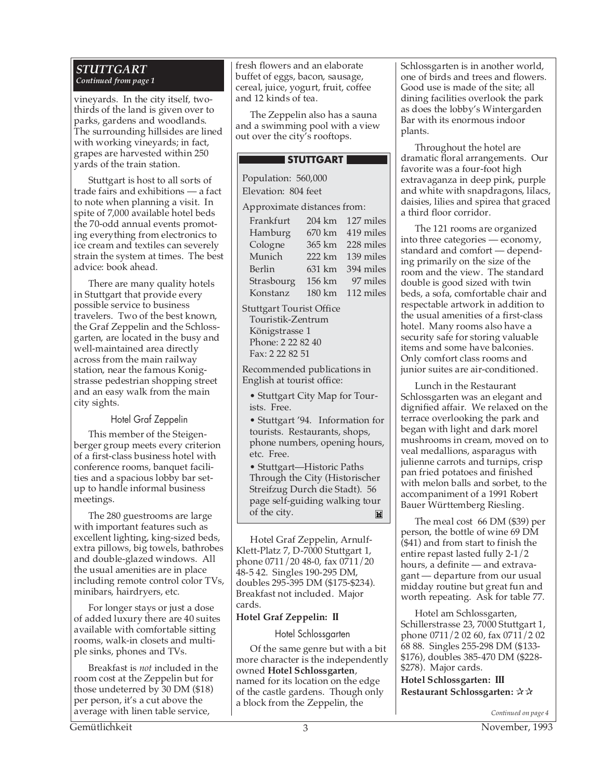#### *STUTTGART Continued from page 1*

vineyards. In the city itself, twothirds of the land is given over to parks, gardens and woodlands. The surrounding hillsides are lined with working vineyards; in fact, grapes are harvested within 250 yards of the train station.

Stuttgart is host to all sorts of trade fairs and exhibitions — a fact to note when planning a visit. In spite of 7,000 available hotel beds the 70-odd annual events promoting everything from electronics to ice cream and textiles can severely strain the system at times. The best advice: book ahead.

There are many quality hotels in Stuttgart that provide every possible service to business travelers. Two of the best known, the Graf Zeppelin and the Schlossgarten, are located in the busy and well-maintained area directly across from the main railway station, near the famous Konigstrasse pedestrian shopping street and an easy walk from the main city sights.

Hotel Graf Zeppelin

This member of the Steigenberger group meets every criterion of a first-class business hotel with conference rooms, banquet facilities and a spacious lobby bar setup to handle informal business meetings.

The 280 guestrooms are large with important features such as excellent lighting, king-sized beds, extra pillows, big towels, bathrobes and double-glazed windows. All the usual amenities are in place including remote control color TVs, minibars, hairdryers, etc.

For longer stays or just a dose of added luxury there are 40 suites available with comfortable sitting rooms, walk-in closets and multiple sinks, phones and TVs.

Breakfast is *not* included in the room cost at the Zeppelin but for those undeterred by 30 DM (\$18) per person, it's a cut above the average with linen table service,

fresh flowers and an elaborate buffet of eggs, bacon, sausage, cereal, juice, yogurt, fruit, coffee and 12 kinds of tea.

The Zeppelin also has a sauna and a swimming pool with a view out over the city's rooftops.

#### STUTTGART

Population: 560,000 Elevation: 804 feet Approximate distances from:

| Frankfurt                 |        | 204 km 127 miles |  |  |  |
|---------------------------|--------|------------------|--|--|--|
| Hamburg                   |        | 670 km 419 miles |  |  |  |
| Cologne                   | 365 km | 228 miles        |  |  |  |
| Munich                    | 222 km | 139 miles        |  |  |  |
| Berlin                    | 631 km | 394 miles        |  |  |  |
| Strasbourg                | 156 km | 97 miles         |  |  |  |
| Konstanz                  |        | 180 km 112 miles |  |  |  |
| $2+1++22+$ Tourist Office |        |                  |  |  |  |

Stuttgart Tourist Office Touristik-Zentrum Königstrasse 1 Phone: 2 22 82 40 Fax: 2 22 82 51

Recommended publications in English at tourist office:

• Stuttgart City Map for Tourists. Free.

• Stuttgart '94. Information for tourists. Restaurants, shops, phone numbers, opening hours, etc. Free.

• Stuttgart—Historic Paths Through the City (Historischer Streifzug Durch die Stadt). 56 page self-guiding walking tour of the city. $\mathbb{H}$ 

Hotel Graf Zeppelin, Arnulf-Klett-Platz 7, D-7000 Stuttgart 1, phone 0711/20 48-0, fax 0711/20 48-5 42. Singles 190-295 DM, doubles 295-395 DM (\$175-\$234). Breakfast not included. Major cards.

#### **Hotel Graf Zeppelin: II**

Hotel Schlossgarten

Of the same genre but with a bit more character is the independently owned **Hotel Schlossgarten**, named for its location on the edge of the castle gardens. Though only a block from the Zeppelin, the

Schlossgarten is in another world, one of birds and trees and flowers. Good use is made of the site; all dining facilities overlook the park as does the lobby's Wintergarden Bar with its enormous indoor plants.

Throughout the hotel are dramatic floral arrangements. Our favorite was a four-foot high extravaganza in deep pink, purple and white with snapdragons, lilacs, daisies, lilies and spirea that graced a third floor corridor.

The 121 rooms are organized into three categories — economy, standard and comfort — depending primarily on the size of the room and the view. The standard double is good sized with twin beds, a sofa, comfortable chair and respectable artwork in addition to the usual amenities of a first-class hotel. Many rooms also have a security safe for storing valuable items and some have balconies. Only comfort class rooms and junior suites are air-conditioned.

Lunch in the Restaurant Schlossgarten was an elegant and dignified affair. We relaxed on the terrace overlooking the park and began with light and dark morel mushrooms in cream, moved on to veal medallions, asparagus with julienne carrots and turnips, crisp pan fried potatoes and finished with melon balls and sorbet, to the accompaniment of a 1991 Robert Bauer Württemberg Riesling.

The meal cost 66 DM (\$39) per person, the bottle of wine 69 DM (\$41) and from start to finish the entire repast lasted fully 2-1/2 hours, a definite — and extravagant — departure from our usual midday routine but great fun and worth repeating. Ask for table 77.

Hotel am Schlossgarten, Schillerstrasse 23, 7000 Stuttgart 1, phone 0711/2 02 60, fax 0711/2 02 68 88. Singles 255-298 DM (\$133- \$176), doubles 385-470 DM (\$228- \$278). Major cards.

**Hotel Schlossgarten: III Restaurant Schlossgarten:** ✰✰

*Continued on page 4*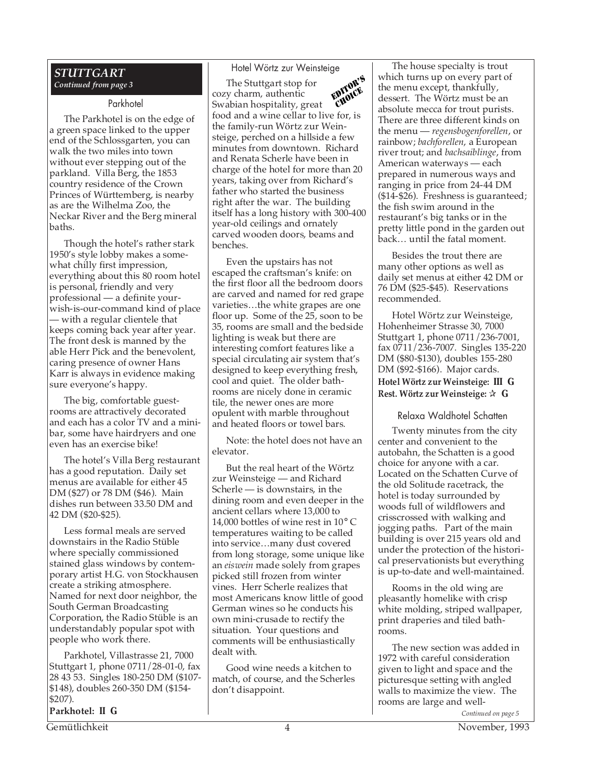#### *STUTTGART Continued from page 3*

#### Parkhotel

The Parkhotel is on the edge of a green space linked to the upper end of the Schlossgarten, you can walk the two miles into town without ever stepping out of the parkland. Villa Berg, the 1853 country residence of the Crown Princes of Württemberg, is nearby as are the Wilhelma Zoo, the Neckar River and the Berg mineral baths.

Though the hotel's rather stark 1950's style lobby makes a somewhat chilly first impression, everything about this 80 room hotel is personal, friendly and very professional — a definite yourwish-is-our-command kind of place — with a regular clientele that keeps coming back year after year. The front desk is manned by the able Herr Pick and the benevolent, caring presence of owner Hans Karr is always in evidence making sure everyone's happy.

The big, comfortable guestrooms are attractively decorated and each has a color TV and a minibar, some have hairdryers and one even has an exercise bike!

The hotel's Villa Berg restaurant has a good reputation. Daily set menus are available for either 45 DM (\$27) or 78 DM (\$46). Main dishes run between 33.50 DM and 42 DM (\$20-\$25).

Less formal meals are served downstairs in the Radio Stüble where specially commissioned stained glass windows by contemporary artist H.G. von Stockhausen create a striking atmosphere. Named for next door neighbor, the South German Broadcasting Corporation, the Radio Stüble is an understandably popular spot with people who work there.

Parkhotel, Villastrasse 21, 7000 Stuttgart 1, phone 0711/28-01-0, fax 28 43 53. Singles 180-250 DM (\$107- \$148), doubles 260-350 DM (\$154- \$207).

**Parkhotel: II G**

#### Hotel Wörtz zur Weinsteige

The Stuttgart stop for cozy charm, authentic Swabian hospitality, great food and a wine cellar to live for, is the family-run Wörtz zur Weinsteige, perched on a hillside a few minutes from downtown. Richard and Renata Scherle have been in charge of the hotel for more than 20 years, taking over from Richard's father who started the business right after the war. The building itself has a long history with 300-400 year-old ceilings and ornately carved wooden doors, beams and benches. EDITOR'S CHOICE

Even the upstairs has not escaped the craftsman's knife: on the first floor all the bedroom doors are carved and named for red grape varieties…the white grapes are one floor up. Some of the 25, soon to be 35, rooms are small and the bedside lighting is weak but there are interesting comfort features like a special circulating air system that's designed to keep everything fresh, cool and quiet. The older bathrooms are nicely done in ceramic tile, the newer ones are more opulent with marble throughout and heated floors or towel bars.

Note: the hotel does not have an elevator.

But the real heart of the Wörtz zur Weinsteige — and Richard Scherle — is downstairs, in the dining room and even deeper in the ancient cellars where 13,000 to 14,000 bottles of wine rest in 10° C temperatures waiting to be called into service…many dust covered from long storage, some unique like an *eiswein* made solely from grapes picked still frozen from winter vines. Herr Scherle realizes that most Americans know little of good German wines so he conducts his own mini-crusade to rectify the situation. Your questions and comments will be enthusiastically dealt with.

Good wine needs a kitchen to match, of course, and the Scherles don't disappoint.

The house specialty is trout which turns up on every part of the menu except, thankfully, dessert. The Wörtz must be an absolute mecca for trout purists. There are three different kinds on the menu — *regensbogenforellen*, or rainbow; *bachforellen*, a European river trout; and *bachsaiblinge*, from American waterways — each prepared in numerous ways and ranging in price from 24-44 DM (\$14-\$26). Freshness is guaranteed; the fish swim around in the restaurant's big tanks or in the pretty little pond in the garden out back… until the fatal moment.

Besides the trout there are many other options as well as daily set menus at either 42 DM or 76 DM (\$25-\$45). Reservations recommended.

Hotel Wörtz zur Weinsteige, Hohenheimer Strasse 30, 7000 Stuttgart 1, phone 0711/236-7001, fax 0711/236-7007. Singles 135-220 DM (\$80-\$130), doubles 155-280 DM (\$92-\$166). Major cards. **Hotel Wörtz zur Weinsteige: III G Rest. Wörtz zur Weinsteige:** ✰ **G**

Relaxa Waldhotel Schatten

Twenty minutes from the city center and convenient to the autobahn, the Schatten is a good choice for anyone with a car. Located on the Schatten Curve of the old Solitude racetrack, the hotel is today surrounded by woods full of wildflowers and crisscrossed with walking and jogging paths. Part of the main building is over 215 years old and under the protection of the historical preservationists but everything is up-to-date and well-maintained.

Rooms in the old wing are pleasantly homelike with crisp white molding, striped wallpaper, print draperies and tiled bathrooms.

The new section was added in 1972 with careful consideration given to light and space and the picturesque setting with angled walls to maximize the view. The rooms are large and well-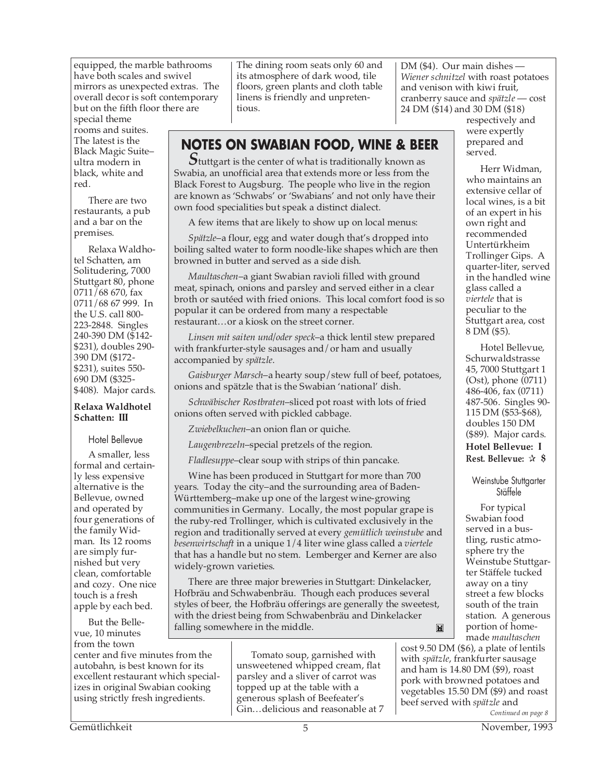equipped, the marble bathrooms have both scales and swivel mirrors as unexpected extras. The overall decor is soft contemporary but on the fifth floor there are

special theme rooms and suites. The latest is the Black Magic Suite– ultra modern in black, white and red.

There are two restaurants, a pub and a bar on the premises.

Relaxa Waldhotel Schatten, am Solitudering, 7000 Stuttgart 80, phone 0711/68 670, fax 0711/68 67 999. In the U.S. call 800- 223-2848. Singles 240-390 DM (\$142- \$231), doubles 290- 390 DM (\$172- \$231), suites 550- 690 DM (\$325- \$408). Major cards.

#### **Relaxa Waldhotel Schatten: III**

#### Hotel Bellevue

A smaller, less formal and certainly less expensive alternative is the Bellevue, owned and operated by four generations of the family Widman. Its 12 rooms are simply furnished but very clean, comfortable and cozy. One nice touch is a fresh apple by each bed.

But the Bellevue, 10 minutes from the town

center and five minutes from the autobahn, is best known for its excellent restaurant which specializes in original Swabian cooking using strictly fresh ingredients.

The dining room seats only 60 and its atmosphere of dark wood, tile floors, green plants and cloth table linens is friendly and unpretentious.

*Wiener schnitzel* with roast potatoes and venison with kiwi fruit, cranberry sauce and *spätzle* — cost 24 DM (\$14) and 30 DM (\$18) respectively and

> were expertly prepared and served.

Herr Widman, who maintains an extensive cellar of local wines, is a bit of an expert in his own right and

DM (\$4). Our main dishes —

### **NOTES ON SWABIAN FOOD, WINE & BEER**

*S*tuttgart is the center of what is traditionally known as Swabia, an unofficial area that extends more or less from the Black Forest to Augsburg. The people who live in the region are known as 'Schwabs' or 'Swabians' and not only have their own food specialities but speak a distinct dialect.

A few items that are likely to show up on local menus:

*Spätzle*–a flour, egg and water dough that's dropped into boiling salted water to form noodle-like shapes which are then browned in butter and served as a side dish.

*Maultaschen*–a giant Swabian ravioli filled with ground meat, spinach, onions and parsley and served either in a clear broth or sautéed with fried onions. This local comfort food is so popular it can be ordered from many a respectable restaurant…or a kiosk on the street corner.

*Linsen mit saiten und/oder speck*–a thick lentil stew prepared with frankfurter-style sausages and/or ham and usually accompanied by *spätzle*.

*Gaisburger Marsch*–a hearty soup/stew full of beef, potatoes, onions and spätzle that is the Swabian 'national' dish.

*Schwäbischer Rostbraten*–sliced pot roast with lots of fried onions often served with pickled cabbage.

*Zwiebelkuchen*–an onion flan or quiche.

*Laugenbrezeln*–special pretzels of the region.

*Fladlesuppe*–clear soup with strips of thin pancake.

Wine has been produced in Stuttgart for more than 700 years. Today the city–and the surrounding area of Baden-Württemberg–make up one of the largest wine-growing communities in Germany. Locally, the most popular grape is the ruby-red Trollinger, which is cultivated exclusively in the region and traditionally served at every *gemütlich weinstube* and *besenwirtschaft* in a unique 1/4 liter wine glass called a *viertele* that has a handle but no stem. Lemberger and Kerner are also widely-grown varieties.

There are three major breweries in Stuttgart: Dinkelacker, Hofbräu and Schwabenbräu. Though each produces several styles of beer, the Hofbräu offerings are generally the sweetest, with the driest being from Schwabenbräu and Dinkelacker falling somewhere in the middle. $\overline{\mathbf{M}}$ 

> Tomato soup, garnished with unsweetened whipped cream, flat parsley and a sliver of carrot was topped up at the table with a generous splash of Beefeater's Gin…delicious and reasonable at 7

recommended Untertürkheim Trollinger Gips. A quarter-liter, served in the handled wine glass called a *viertele* that is peculiar to the Stuttgart area, cost 8 DM (\$5). Hotel Bellevue,

Schurwaldstrasse 45, 7000 Stuttgart 1 (Ost), phone (0711) 486-406, fax (0711) 487-506. Singles 90- 115 DM (\$53-\$68), doubles 150 DM (\$89). Major cards. **Hotel Bellevue: I Rest. Bellevue:** ✰ **\$**

Weinstube Stuttgarter Stäffele

For typical Swabian food served in a bustling, rustic atmosphere try the Weinstube Stuttgarter Stäffele tucked away on a tiny street a few blocks south of the train station. A generous portion of homemade *maultaschen*

cost 9.50 DM (\$6), a plate of lentils with *spätzle*, frankfurter sausage and ham is 14.80 DM (\$9), roast pork with browned potatoes and vegetables 15.50 DM (\$9) and roast beef served with *spätzle* and

*Continued on page 8*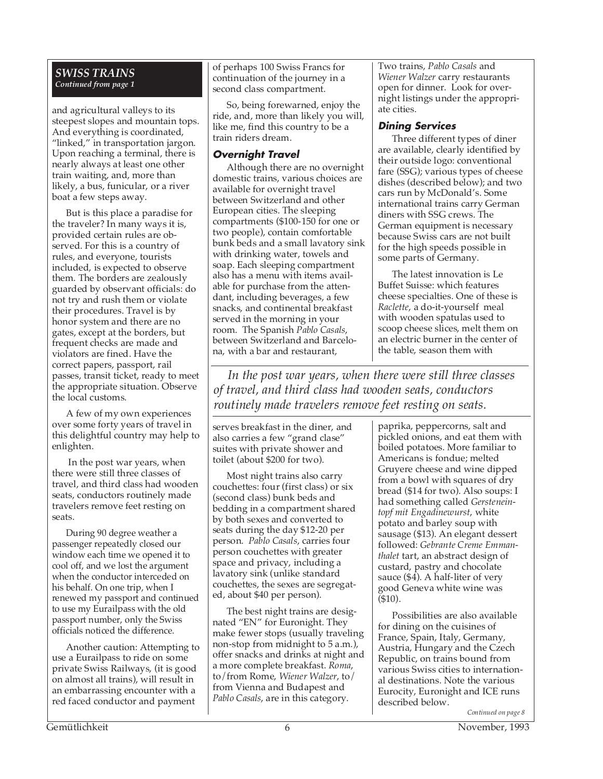#### *SWISS TRAINS Continued from page 1*

and agricultural valleys to its steepest slopes and mountain tops. And everything is coordinated, "linked," in transportation jargon. Upon reaching a terminal, there is nearly always at least one other train waiting, and, more than likely, a bus, funicular, or a river boat a few steps away.

But is this place a paradise for the traveler? In many ways it is, provided certain rules are observed. For this is a country of rules, and everyone, tourists included, is expected to observe them. The borders are zealously guarded by observant officials: do not try and rush them or violate their procedures. Travel is by honor system and there are no gates, except at the borders, but frequent checks are made and violators are fined. Have the correct papers, passport, rail passes, transit ticket, ready to meet the appropriate situation. Observe the local customs.

A few of my own experiences over some forty years of travel in this delightful country may help to enlighten.

 In the post war years, when there were still three classes of travel, and third class had wooden seats, conductors routinely made travelers remove feet resting on seats.

During 90 degree weather a passenger repeatedly closed our window each time we opened it to cool off, and we lost the argument when the conductor interceded on his behalf. On one trip, when I renewed my passport and continued to use my Eurailpass with the old passport number, only the Swiss officials noticed the difference.

Another caution: Attempting to use a Eurailpass to ride on some private Swiss Railways, (it is good on almost all trains), will result in an embarrassing encounter with a red faced conductor and payment

of perhaps 100 Swiss Francs for continuation of the journey in a second class compartment.

So, being forewarned, enjoy the ride, and, more than likely you will, like me, find this country to be a train riders dream.

#### **Overnight Travel**

Although there are no overnight domestic trains, various choices are available for overnight travel between Switzerland and other European cities. The sleeping compartments (\$100-150 for one or two people), contain comfortable bunk beds and a small lavatory sink with drinking water, towels and soap. Each sleeping compartment also has a menu with items available for purchase from the attendant, including beverages, a few snacks, and continental breakfast served in the morning in your room. The Spanish *Pablo Casals*, between Switzerland and Barcelona, with a bar and restaurant,

Two trains, *Pablo Casals* and *Wiener Walzer* carry restaurants open for dinner. Look for overnight listings under the appropriate cities.

#### **Dining Services**

Three different types of diner are available, clearly identified by their outside logo: conventional fare (SSG); various types of cheese dishes (described below); and two cars run by McDonald's. Some international trains carry German diners with SSG crews. The German equipment is necessary because Swiss cars are not built for the high speeds possible in some parts of Germany.

The latest innovation is Le Buffet Suisse: which features cheese specialties. One of these is *Raclette*, a do-it-yourself meal with wooden spatulas used to scoop cheese slices, melt them on an electric burner in the center of the table, season them with

*In the post war years, when there were still three classes of travel, and third class had wooden seats, conductors routinely made travelers remove feet resting on seats.*

serves breakfast in the diner, and also carries a few "grand clase" suites with private shower and toilet (about \$200 for two).

Most night trains also carry couchettes: four (first class) or six (second class) bunk beds and bedding in a compartment shared by both sexes and converted to seats during the day \$12-20 per person. *Pablo Casals*, carries four person couchettes with greater space and privacy, including a lavatory sink (unlike standard couchettes, the sexes are segregated, about \$40 per person).

The best night trains are designated "EN" for Euronight. They make fewer stops (usually traveling non-stop from midnight to 5 a.m.), offer snacks and drinks at night and a more complete breakfast. *Roma*, to/from Rome, *Wiener Walzer*, to/ from Vienna and Budapest and *Pablo Casals*, are in this category.

paprika, peppercorns, salt and pickled onions, and eat them with boiled potatoes. More familiar to Americans is fondue; melted Gruyere cheese and wine dipped from a bowl with squares of dry bread (\$14 for two). Also soups: I had something called *Gersteneintopf mit Engadinewurst*, white potato and barley soup with sausage (\$13). An elegant dessert followed: *Gebrante Creme Emmanthalet* tart, an abstract design of custard, pastry and chocolate sauce (\$4). A half-liter of very good Geneva white wine was  $(510)$ .

Possibilities are also available for dining on the cuisines of France, Spain, Italy, Germany, Austria, Hungary and the Czech Republic, on trains bound from various Swiss cities to international destinations. Note the various Eurocity, Euronight and ICE runs described below.

*Continued on page 8*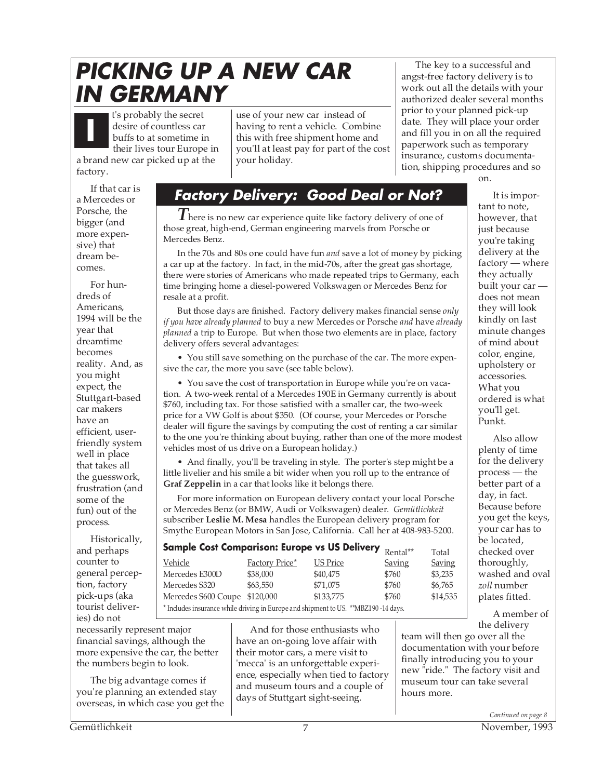## **PICKING UP A NEW CAR IN GERMANY**

t's probably the secret desire of countless car buffs to at sometime in their lives tour Europe in a brand new car picked up at the factory. **I**

use of your new car instead of having to rent a vehicle. Combine this with free shipment home and you'll at least pay for part of the cost your holiday.

The key to a successful and angst-free factory delivery is to work out all the details with your authorized dealer several months prior to your planned pick-up date. They will place your order and fill you in on all the required paperwork such as temporary insurance, customs documentation, shipping procedures and so on.

If that car is a Mercedes or Porsche, the bigger (and more expensive) that dream becomes.

For hundreds of Americans, 1994 will be the year that dreamtime becomes reality. And, as you might expect, the Stuttgart-based car makers have an efficient, userfriendly system well in place that takes all the guesswork, frustration (and some of the fun) out of the process.

Historically, and perhaps counter to general perception, factory pick-ups (aka tourist deliveries) do not

## **Factory Delivery: Good Deal or Not?**

*T* here is no new car experience quite like factory delivery of one of those great, high-end, German engineering marvels from Porsche or Mercedes Benz.

In the 70s and 80s one could have fun *and* save a lot of money by picking a car up at the factory. In fact, in the mid-70s, after the great gas shortage, there were stories of Americans who made repeated trips to Germany, each time bringing home a diesel-powered Volkswagen or Mercedes Benz for resale at a profit.

But those days are finished. Factory delivery makes financial sense *only if you have already planned* to buy a new Mercedes or Porsche *and* have *already planned* a trip to Europe. But when those two elements are in place, factory delivery offers several advantages:

• You still save something on the purchase of the car. The more expensive the car, the more you save (see table below).

• You save the cost of transportation in Europe while you're on vacation. A two-week rental of a Mercedes 190E in Germany currently is about \$760, including tax. For those satisfied with a smaller car, the two-week price for a VW Golf is about \$350. (Of course, your Mercedes or Porsche dealer will figure the savings by computing the cost of renting a car similar to the one you're thinking about buying, rather than one of the more modest vehicles most of us drive on a European holiday.)

• And finally, you'll be traveling in style. The porter's step might be a little livelier and his smile a bit wider when you roll up to the entrance of **Graf Zeppelin** in a car that looks like it belongs there.

For more information on European delivery contact your local Porsche or Mercedes Benz (or BMW, Audi or Volkswagen) dealer. *Gemütlichkeit* subscriber **Leslie M. Mesa** handles the European delivery program for Smythe European Motors in San Jose, California. Call her at 408-983-5200.

| <b>Sample Cost Comparison: Europe vs US Delivery</b>                                 | Rental**       | Total           |        |          |  |
|--------------------------------------------------------------------------------------|----------------|-----------------|--------|----------|--|
| Vehicle                                                                              | Factory Price* | <b>US Price</b> | Saving | Saving   |  |
| Mercedes E300D                                                                       | \$38,000       | \$40,475        | \$760  | \$3,235  |  |
| Mercedes S320                                                                        | \$63,550       | \$71,075        | \$760  | \$6,765  |  |
| Mercedes S600 Coupe \$120,000                                                        |                | \$133,775       | \$760  | \$14,535 |  |
| * Includes insurance while driving in Europe and shipment to US. ** MBZ190 -14 days. |                |                 |        |          |  |

 $\sim$ 

necessarily represent major financial savings, although the more expensive the car, the better the numbers begin to look.

The big advantage comes if you're planning an extended stay overseas, in which case you get the

And for those enthusiasts who have an on-going love affair with their motor cars, a mere visit to 'mecca' is an unforgettable experience, especially when tied to factory and museum tours and a couple of days of Stuttgart sight-seeing.

It is important to note, however, that just because you're taking delivery at the factory — where they actually built your car does not mean they will look kindly on last minute changes of mind about color, engine, upholstery or accessories. What you ordered is what you'll get. Punkt.

Also allow plenty of time for the delivery process — the better part of a day, in fact. Because before you get the keys, your car has to be located, checked over thoroughly, washed and oval *zoll* number plates fitted.

A member of the delivery

team will then go over all the documentation with your before finally introducing you to your new "ride." The factory visit and museum tour can take several hours more.